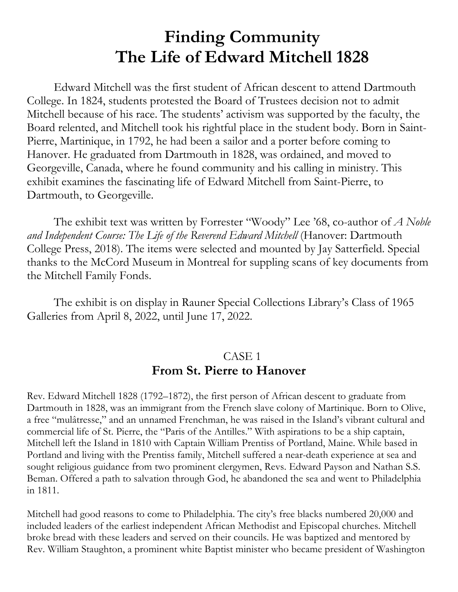# **Finding Community The Life of Edward Mitchell 1828**

Edward Mitchell was the first student of African descent to attend Dartmouth College. In 1824, students protested the Board of Trustees decision not to admit Mitchell because of his race. The students' activism was supported by the faculty, the Board relented, and Mitchell took his rightful place in the student body. Born in Saint-Pierre, Martinique, in 1792, he had been a sailor and a porter before coming to Hanover. He graduated from Dartmouth in 1828, was ordained, and moved to Georgeville, Canada, where he found community and his calling in ministry. This exhibit examines the fascinating life of Edward Mitchell from Saint-Pierre, to Dartmouth, to Georgeville.

The exhibit text was written by Forrester "Woody" Lee '68, co-author of *A Noble and Independent Course: The Life of the Reverend Edward Mitchell* (Hanover: Dartmouth College Press, 2018). The items were selected and mounted by Jay Satterfield. Special thanks to the McCord Museum in Montreal for suppling scans of key documents from the Mitchell Family Fonds.

The exhibit is on display in Rauner Special Collections Library's Class of 1965 Galleries from April 8, 2022, until June 17, 2022.

## CASE 1 **From St. Pierre to Hanover**

Rev. Edward Mitchell 1828 (1792–1872), the first person of African descent to graduate from Dartmouth in 1828, was an immigrant from the French slave colony of Martinique. Born to Olive, a free "mulâtresse," and an unnamed Frenchman, he was raised in the Island's vibrant cultural and commercial life of St. Pierre, the "Paris of the Antilles." With aspirations to be a ship captain, Mitchell left the Island in 1810 with Captain William Prentiss of Portland, Maine. While based in Portland and living with the Prentiss family, Mitchell suffered a near-death experience at sea and sought religious guidance from two prominent clergymen, Revs. Edward Payson and Nathan S.S. Beman. Offered a path to salvation through God, he abandoned the sea and went to Philadelphia in 1811.

Mitchell had good reasons to come to Philadelphia. The city's free blacks numbered 20,000 and included leaders of the earliest independent African Methodist and Episcopal churches. Mitchell broke bread with these leaders and served on their councils. He was baptized and mentored by Rev. William Staughton, a prominent white Baptist minister who became president of Washington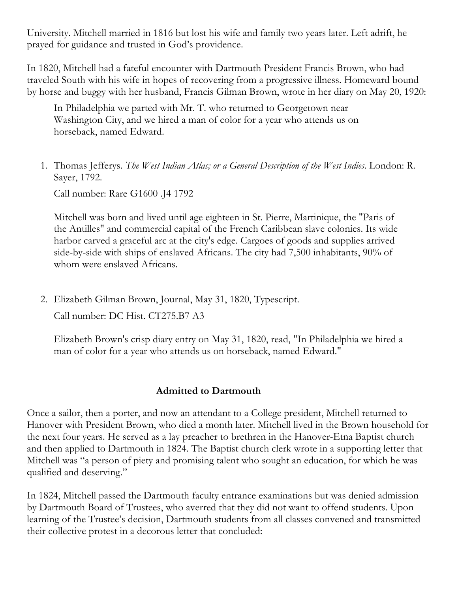University. Mitchell married in 1816 but lost his wife and family two years later. Left adrift, he prayed for guidance and trusted in God's providence.

In 1820, Mitchell had a fateful encounter with Dartmouth President Francis Brown, who had traveled South with his wife in hopes of recovering from a progressive illness. Homeward bound by horse and buggy with her husband, Francis Gilman Brown, wrote in her diary on May 20, 1920:

In Philadelphia we parted with Mr. T. who returned to Georgetown near Washington City, and we hired a man of color for a year who attends us on horseback, named Edward.

1. Thomas Jefferys. *The West Indian Atlas; or a General Description of the West Indies*. London: R. Sayer, 1792.

Call number: Rare G1600 .J4 1792

Mitchell was born and lived until age eighteen in St. Pierre, Martinique, the "Paris of the Antilles" and commercial capital of the French Caribbean slave colonies. Its wide harbor carved a graceful arc at the city's edge. Cargoes of goods and supplies arrived side-by-side with ships of enslaved Africans. The city had 7,500 inhabitants, 90% of whom were enslaved Africans.

2. Elizabeth Gilman Brown, Journal, May 31, 1820, Typescript. Call number: DC Hist. CT275.B7 A3

Elizabeth Brown's crisp diary entry on May 31, 1820, read, "In Philadelphia we hired a man of color for a year who attends us on horseback, named Edward."

#### **Admitted to Dartmouth**

Once a sailor, then a porter, and now an attendant to a College president, Mitchell returned to Hanover with President Brown, who died a month later. Mitchell lived in the Brown household for the next four years. He served as a lay preacher to brethren in the Hanover-Etna Baptist church and then applied to Dartmouth in 1824. The Baptist church clerk wrote in a supporting letter that Mitchell was "a person of piety and promising talent who sought an education, for which he was qualified and deserving."

In 1824, Mitchell passed the Dartmouth faculty entrance examinations but was denied admission by Dartmouth Board of Trustees, who averred that they did not want to offend students. Upon learning of the Trustee's decision, Dartmouth students from all classes convened and transmitted their collective protest in a decorous letter that concluded: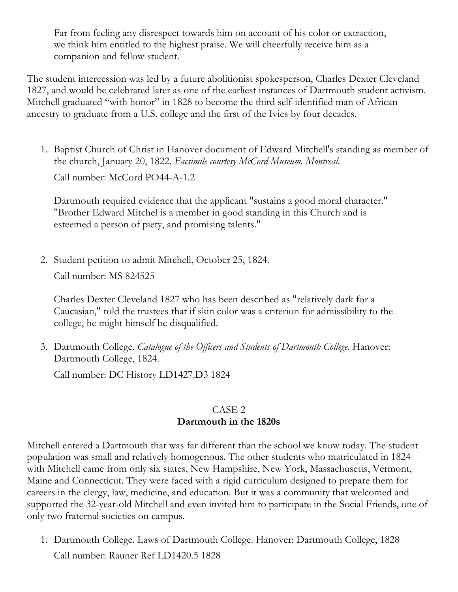Far from feeling any disrespect towards him on account of his color or extraction, we think him entitled to the highest praise. We will cheerfully receive him as a companion and fellow student.

The student intercession was led by a future abolitionist spokesperson, Charles Dexter Cleveland 1827, and would be celebrated later as one of the earliest instances of Dartmouth student activism. Mitchell graduated "with honor" in 1828 to become the third self-identified man of African ancestry to graduate from a U.S. college and the first of the Ivies by four decades.

1. Baptist Church of Christ in Hanover document of Edward Mitchell's standing as member of the church, January 20, 1822. *Facsimile courtesy McCord Museum, Montreal*.

Call number: McCord PO44-A-1.2

Dartmouth required evidence that the applicant "sustains a good moral character." "Brother Edward Mitchel is a member in good standing in this Church and is esteemed a person of piety, and promising talents."

2. Student petition to admit Mitchell, October 25, 1824.

Call number: MS 824525

Charles Dexter Cleveland 1827 who has been described as "relatively dark for a Caucasian," told the trustees that if skin color was a criterion for admissibility to the college, he might himself be disqualified.

3. Dartmouth College. *Catalogue of the Officers and Students of Dartmouth College*. Hanover: Dartmouth College, 1824.

Call number: DC History LD1427.D3 1824

#### CASE 2 **Dartmouth in the 1820s**

Mitchell entered a Dartmouth that was far different than the school we know today. The student population was small and relatively homogenous. The other students who matriculated in 1824 with Mitchell came from only six states, New Hampshire, New York, Massachusetts, Vermont, Maine and Connecticut. They were faced with a rigid curriculum designed to prepare them for careers in the clergy, law, medicine, and education. But it was a community that welcomed and supported the 32-year-old Mitchell and even invited him to participate in the Social Friends, one of only two fraternal societies on campus.

1. Dartmouth College. Laws of Dartmouth College. Hanover: Dartmouth College, 1828 Call number: Rauner Ref LD1420.5 1828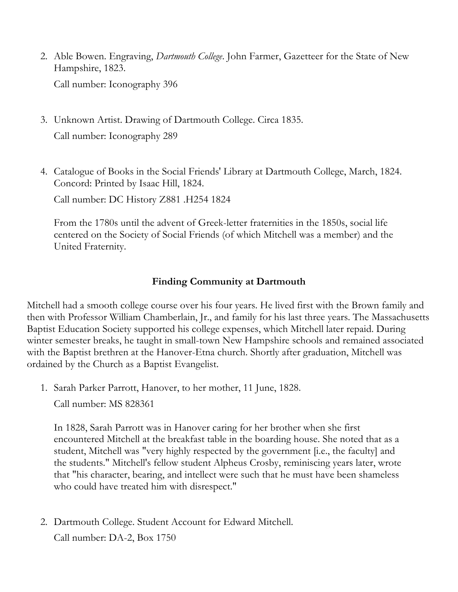- 2. Able Bowen. Engraving, *Dartmouth College*. John Farmer, Gazetteer for the State of New Hampshire, 1823. Call number: Iconography 396
- 3. Unknown Artist. Drawing of Dartmouth College. Circa 1835. Call number: Iconography 289
- 4. Catalogue of Books in the Social Friends' Library at Dartmouth College, March, 1824. Concord: Printed by Isaac Hill, 1824.

Call number: DC History Z881 .H254 1824

From the 1780s until the advent of Greek-letter fraternities in the 1850s, social life centered on the Society of Social Friends (of which Mitchell was a member) and the United Fraternity.

#### **Finding Community at Dartmouth**

Mitchell had a smooth college course over his four years. He lived first with the Brown family and then with Professor William Chamberlain, Jr., and family for his last three years. The Massachusetts Baptist Education Society supported his college expenses, which Mitchell later repaid. During winter semester breaks, he taught in small-town New Hampshire schools and remained associated with the Baptist brethren at the Hanover-Etna church. Shortly after graduation, Mitchell was ordained by the Church as a Baptist Evangelist.

1. Sarah Parker Parrott, Hanover, to her mother, 11 June, 1828.

Call number: MS 828361

In 1828, Sarah Parrott was in Hanover caring for her brother when she first encountered Mitchell at the breakfast table in the boarding house. She noted that as a student, Mitchell was "very highly respected by the government [i.e., the faculty] and the students." Mitchell's fellow student Alpheus Crosby, reminiscing years later, wrote that "his character, bearing, and intellect were such that he must have been shameless who could have treated him with disrespect."

2. Dartmouth College. Student Account for Edward Mitchell.

Call number: DA-2, Box 1750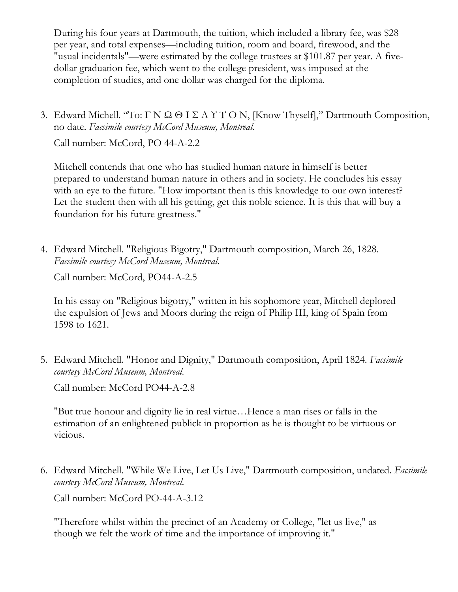During his four years at Dartmouth, the tuition, which included a library fee, was \$28 per year, and total expenses—including tuition, room and board, firewood, and the "usual incidentals"—were estimated by the college trustees at \$101.87 per year. A fivedollar graduation fee, which went to the college president, was imposed at the completion of studies, and one dollar was charged for the diploma.

3. Edward Michell. "To: ΓΝΩΘΙΣΑΥΤΟΝ, [Know Thyself]," Dartmouth Composition, no date. *Facsimile courtesy McCord Museum, Montreal*.

Call number: McCord, PO 44-A-2.2

Mitchell contends that one who has studied human nature in himself is better prepared to understand human nature in others and in society. He concludes his essay with an eye to the future. "How important then is this knowledge to our own interest? Let the student then with all his getting, get this noble science. It is this that will buy a foundation for his future greatness."

4. Edward Mitchell. "Religious Bigotry," Dartmouth composition, March 26, 1828. *Facsimile courtesy McCord Museum, Montreal*.

Call number: McCord, PO44-A-2.5

In his essay on "Religious bigotry," written in his sophomore year, Mitchell deplored the expulsion of Jews and Moors during the reign of Philip III, king of Spain from 1598 to 1621.

5. Edward Mitchell. "Honor and Dignity," Dartmouth composition, April 1824. *Facsimile courtesy McCord Museum, Montreal*.

Call number: McCord PO44-A-2.8

"But true honour and dignity lie in real virtue…Hence a man rises or falls in the estimation of an enlightened publick in proportion as he is thought to be virtuous or vicious.

6. Edward Mitchell. "While We Live, Let Us Live," Dartmouth composition, undated. *Facsimile courtesy McCord Museum, Montreal*.

Call number: McCord PO-44-A-3.12

"Therefore whilst within the precinct of an Academy or College, "let us live," as though we felt the work of time and the importance of improving it."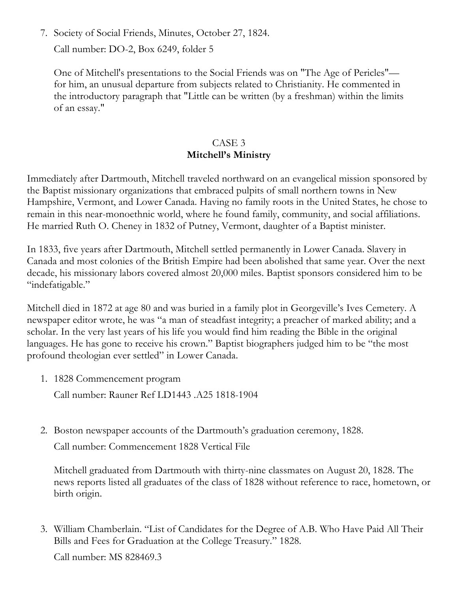7. Society of Social Friends, Minutes, October 27, 1824.

Call number: DO-2, Box 6249, folder 5

One of Mitchell's presentations to the Social Friends was on "The Age of Pericles" for him, an unusual departure from subjects related to Christianity. He commented in the introductory paragraph that "Little can be written (by a freshman) within the limits of an essay."

#### CASE 3 **Mitchell's Ministry**

Immediately after Dartmouth, Mitchell traveled northward on an evangelical mission sponsored by the Baptist missionary organizations that embraced pulpits of small northern towns in New Hampshire, Vermont, and Lower Canada. Having no family roots in the United States, he chose to remain in this near-monoethnic world, where he found family, community, and social affiliations. He married Ruth O. Cheney in 1832 of Putney, Vermont, daughter of a Baptist minister.

In 1833, five years after Dartmouth, Mitchell settled permanently in Lower Canada. Slavery in Canada and most colonies of the British Empire had been abolished that same year. Over the next decade, his missionary labors covered almost 20,000 miles. Baptist sponsors considered him to be "indefatigable."

Mitchell died in 1872 at age 80 and was buried in a family plot in Georgeville's Ives Cemetery. A newspaper editor wrote, he was "a man of steadfast integrity; a preacher of marked ability; and a scholar. In the very last years of his life you would find him reading the Bible in the original languages. He has gone to receive his crown." Baptist biographers judged him to be "the most profound theologian ever settled" in Lower Canada.

1. 1828 Commencement program

Call number: Rauner Ref LD1443 .A25 1818-1904

2. Boston newspaper accounts of the Dartmouth's graduation ceremony, 1828.

Call number: Commencement 1828 Vertical File

Mitchell graduated from Dartmouth with thirty-nine classmates on August 20, 1828. The news reports listed all graduates of the class of 1828 without reference to race, hometown, or birth origin.

3. William Chamberlain. "List of Candidates for the Degree of A.B. Who Have Paid All Their Bills and Fees for Graduation at the College Treasury." 1828.

Call number: MS 828469.3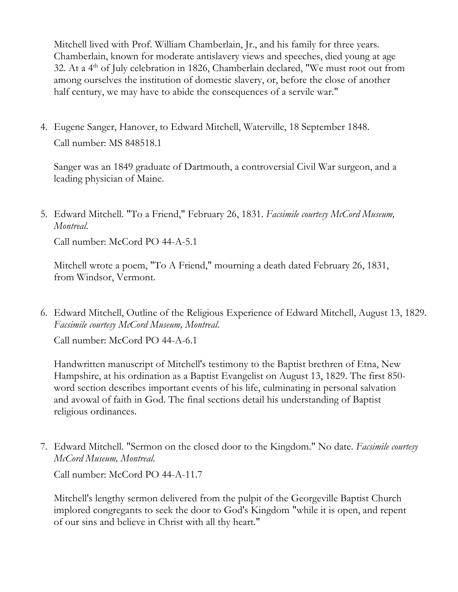Mitchell lived with Prof. William Chamberlain, Jr., and his family for three years. Chamberlain, known for moderate antislavery views and speeches, died young at age 32. At a  $4<sup>th</sup>$  of July celebration in 1826, Chamberlain declared, "We must root out from among ourselves the institution of domestic slavery, or, before the close of another half century, we may have to abide the consequences of a servile war."

4. Eugene Sanger, Hanover, to Edward Mitchell, Waterville, 18 September 1848. Call number: MS 848518.1

Sanger was an 1849 graduate of Dartmouth, a controversial Civil War surgeon, and a leading physician of Maine.

5. Edward Mitchell. "To a Friend," February 26, 1831. *Facsimile courtesy McCord Museum, Montreal*.

Call number: McCord PO 44-A-5.1

Mitchell wrote a poem, "To A Friend," mourning a death dated February 26, 1831, from Windsor, Vermont.

6. Edward Mitchell, Outline of the Religious Experience of Edward Mitchell, August 13, 1829. *Facsimile courtesy McCord Museum, Montreal*.

Call number: McCord PO 44-A-6.1

Handwritten manuscript of Mitchell's testimony to the Baptist brethren of Etna, New Hampshire, at his ordination as a Baptist Evangelist on August 13, 1829. The first 850 word section describes important events of his life, culminating in personal salvation and avowal of faith in God. The final sections detail his understanding of Baptist religious ordinances.

7. Edward Mitchell. "Sermon on the closed door to the Kingdom." No date. *Facsimile courtesy McCord Museum, Montreal*.

Call number: McCord PO 44-A-11.7

Mitchell's lengthy sermon delivered from the pulpit of the Georgeville Baptist Church implored congregants to seek the door to God's Kingdom "while it is open, and repent of our sins and believe in Christ with all thy heart."